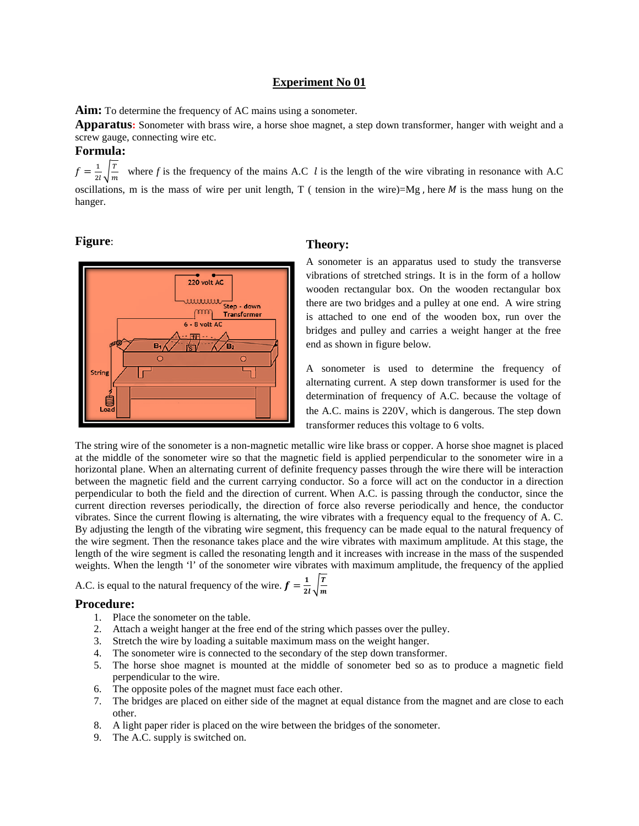**Aim:** To determine the frequency of AC mains using a sonometer.

**Apparatus:** Sonometer with brass wire, a horse shoe magnet, a step down transformer, hanger with weight and a screw gauge, connecting wire etc.

### **Formula:**

 $f = \frac{1}{2l} \sqrt{\frac{T}{m}}$  where *f* is the frequency of the mains A.C *l* is the length of the wire vibrating in resonance with A.C oscillations, m is the mass of wire per unit length,  $T$  ( tension in the wire)=Mg, here  $M$  is the mass hung on the hanger.

### **Figure**:



### **Theory:**

A sonometer is an apparatus used to study the transverse vibrations of stretched strings. It is in the form of a hollow wooden rectangular box. On the wooden rectangular box there are two bridges and a pulley at one end. A wire string is attached to one end of the wooden box, run over the bridges and pulley and carries a weight hanger at the free end as shown in figure below.

A sonometer is used to determine the frequency of alternating current. A step down transformer is used for the determination of frequency of A.C. because the voltage of the A.C. mains is 220V, which is dangerous. The step down transformer reduces this voltage to 6 volts.

The string wire of the sonometer is a non-magnetic metallic wire like brass or copper. A horse shoe magnet is placed at the middle of the sonometer wire so that the magnetic field is applied perpendicular to the sonometer wire in a horizontal plane. When an alternating current of definite frequency passes through the wire there will be interaction between the magnetic field and the current carrying conductor. So a force will act on the conductor in a direction perpendicular to both the field and the direction of current. When A.C. is passing through the conductor, since the current direction reverses periodically, the direction of force also reverse periodically and hence, the conductor vibrates. Since the current flowing is alternating, the wire vibrates with a frequency equal to the frequency of A. C. By adjusting the length of the vibrating wire segment, this frequency can be made equal to the natural frequency of the wire segment. Then the resonance takes place and the wire vibrates with maximum amplitude. At this stage, the length of the wire segment is called the resonating length and it increases with increase in the mass of the suspended weights. When the length 'l' of the sonometer wire vibrates with maximum amplitude, the frequency of the applied

A.C. is equal to the natural frequency of the wire.  $f = \frac{1}{2l} \sqrt{\frac{r}{m}}$ 

- 1. Place the sonometer on the table.
- 2. Attach a weight hanger at the free end of the string which passes over the pulley.
- 3. Stretch the wire by loading a suitable maximum mass on the weight hanger.
- 4. The sonometer wire is connected to the secondary of the step down transformer.
- 5. The horse shoe magnet is mounted at the middle of sonometer bed so as to produce a magnetic field perpendicular to the wire.
- 6. The opposite poles of the magnet must face each other.
- 7. The bridges are placed on either side of the magnet at equal distance from the magnet and are close to each other.
- 8. A light paper rider is placed on the wire between the bridges of the sonometer.
- 9. The A.C. supply is switched on.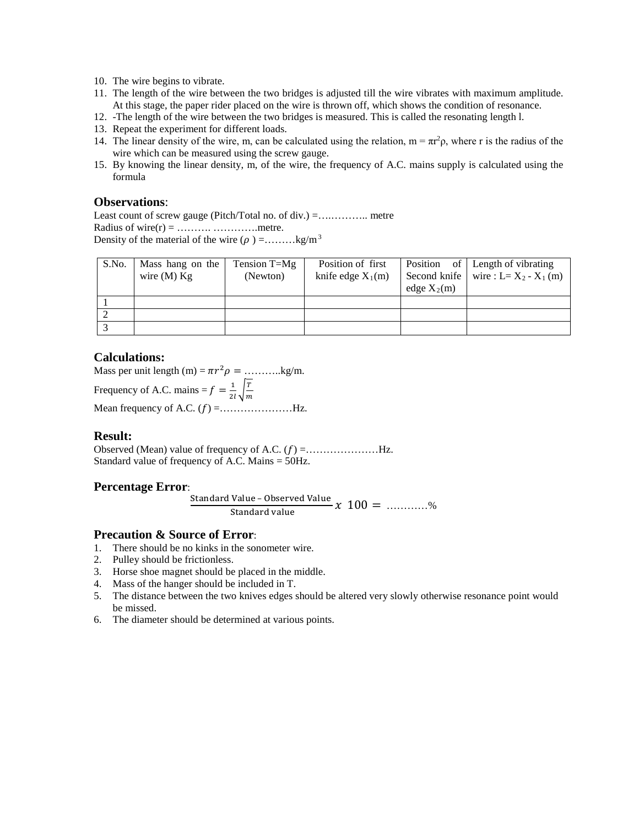- 10. The wire begins to vibrate.
- 11. The length of the wire between the two bridges is adjusted till the wire vibrates with maximum amplitude. At this stage, the paper rider placed on the wire is thrown off, which shows the condition of resonance.
- 12. -The length of the wire between the two bridges is measured. This is called the resonating length l.
- 13. Repeat the experiment for different loads.
- 14. The linear density of the wire, m, can be calculated using the relation,  $m = \pi r^2 \rho$ , where r is the radius of the wire which can be measured using the screw gauge.
- 15. By knowing the linear density, m, of the wire, the frequency of A.C. mains supply is calculated using the formula

### **Observations**:

Least count of screw gauge (Pitch/Total no. of div.) =….……….. metre Radius of wire $(r) =$  ……………………………... metre. Density of the material of the wire  $(\rho) =$ ........kg/m<sup>3</sup>

| S.No. | Mass hang on the<br>wire $(M)$ Kg | Tension $T=Mg$<br>(Newton) | Position of first<br>knife edge $X_1(m)$ | edge $X_2(m)$ | Position of Length of vibrating<br>Second knife   wire : L= $X_2 - X_1$ (m) |
|-------|-----------------------------------|----------------------------|------------------------------------------|---------------|-----------------------------------------------------------------------------|
|       |                                   |                            |                                          |               |                                                                             |
|       |                                   |                            |                                          |               |                                                                             |
|       |                                   |                            |                                          |               |                                                                             |

### **Calculations:**

Mass per unit length (m) =  $\pi r^2 \rho =$  ..........kg/m.

Frequency of A.C. mains  $=f = \frac{1}{2l} \sqrt{\frac{T}{m}}$ 

Mean frequency of A.C.  $(f)$  = ... ... ... ............. Hz.

### **Result:**

Observed (Mean) value of frequency of A.C. () =…………………Hz. Standard value of frequency of A.C. Mains = 50Hz.

### **Percentage Error**:

Standard Value – Observed Value<br>Standard value  $x$   $100 =$  ............%

### **Precaution & Source of Error**:

- 1. There should be no kinks in the sonometer wire.
- 2. Pulley should be frictionless.
- 3. Horse shoe magnet should be placed in the middle.
- 4. Mass of the hanger should be included in T.
- 5. The distance between the two knives edges should be altered very slowly otherwise resonance point would be missed.
- 6. The diameter should be determined at various points.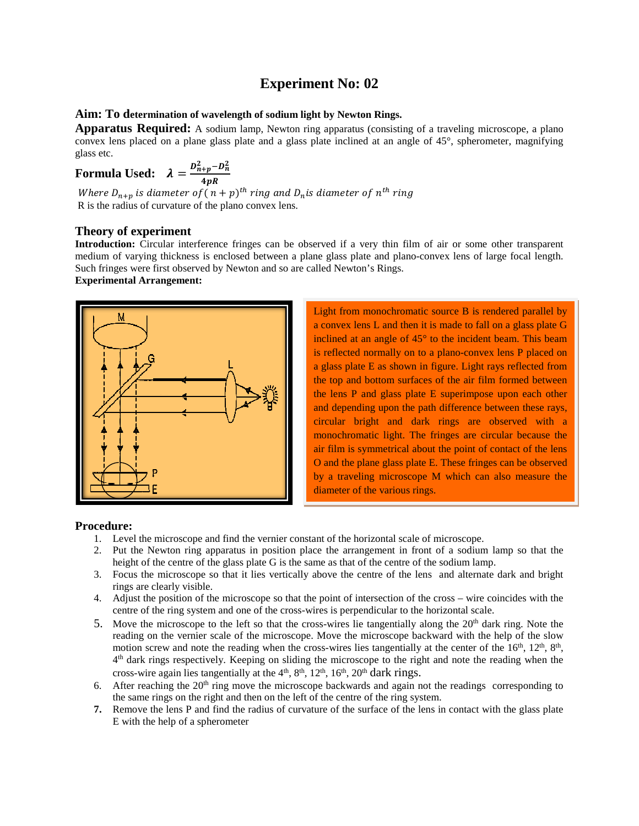#### **Aim: To determination of wavelength of sodium light by Newton Rings.**

**Apparatus Required:** A sodium lamp, Newton ring apparatus (consisting of a traveling microscope, a plano) convex lens placed on a plane glass plate and a glass plate inclined at an angle of 45°, spherometer, magnifying glass etc.

Formula Used: 
$$
\lambda = \frac{D_{n+p}^2 - D_n^2}{4pR}
$$

Where  $D_{n+p}$  is diameter of (  $n+p)^{th}$  ring and  $D_n$ is diameter of  $n^{th}$  ring R is the radius of curvature of the plano convex lens.

### **Theory of experiment**

**Introduction:** Circular interference fringes can be observed if a very thin film of air or some other transparent medium of varying thickness is enclosed between a plane glass plate and plano-convex lens of large focal length. Such fringes were first observed by Newton and so are called Newton's Rings.

### **Experimental Arrangement:**



Light from monochromatic source B is rendered parallel by a convex lens L and then it is made to fall on a glass plate G inclined at an angle of 45° to the incident beam. This beam is reflected normally on to a plano-convex lens P placed on a glass plate E as shown in figure. Light rays reflected from the top and bottom surfaces of the air film formed between the lens P and glass plate E superimpose upon each other and depending upon the path difference between these rays, circular bright and dark rings are observed with a monochromatic light. The fringes are circular because the air film is symmetrical about the point of contact of the lens O and the plane glass plate E. These fringes can be observed by a traveling microscope M which can also measure the diameter of the various rings.

- 1. Level the microscope and find the vernier constant of the horizontal scale of microscope.
- 2. Put the Newton ring apparatus in position place the arrangement in front of a sodium lamp so that the height of the centre of the glass plate G is the same as that of the centre of the sodium lamp.
- 3. Focus the microscope so that it lies vertically above the centre of the lens and alternate dark and bright rings are clearly visible.
- 4. Adjust the position of the microscope so that the point of intersection of the cross wire coincides with the centre of the ring system and one of the cross-wires is perpendicular to the horizontal scale.
- 5. Move the microscope to the left so that the cross-wires lie tangentially along the  $20<sup>th</sup>$  dark ring. Note the reading on the vernier scale of the microscope. Move the microscope backward with the help of the slow motion screw and note the reading when the cross-wires lies tangentially at the center of the 16<sup>th</sup>, 12<sup>th</sup>, 8<sup>th</sup>, 4th dark rings respectively. Keeping on sliding the microscope to the right and note the reading when the cross-wire again lies tangentially at the  $4<sup>th</sup>$ ,  $8<sup>th</sup>$ ,  $12<sup>th</sup>$ ,  $16<sup>th</sup>$ ,  $20<sup>th</sup>$  dark rings.
- 6. After reaching the  $20<sup>th</sup>$  ring move the microscope backwards and again not the readings corresponding to the same rings on the right and then on the left of the centre of the ring system.
- **7.** Remove the lens P and find the radius of curvature of the surface of the lens in contact with the glass plate E with the help of a spherometer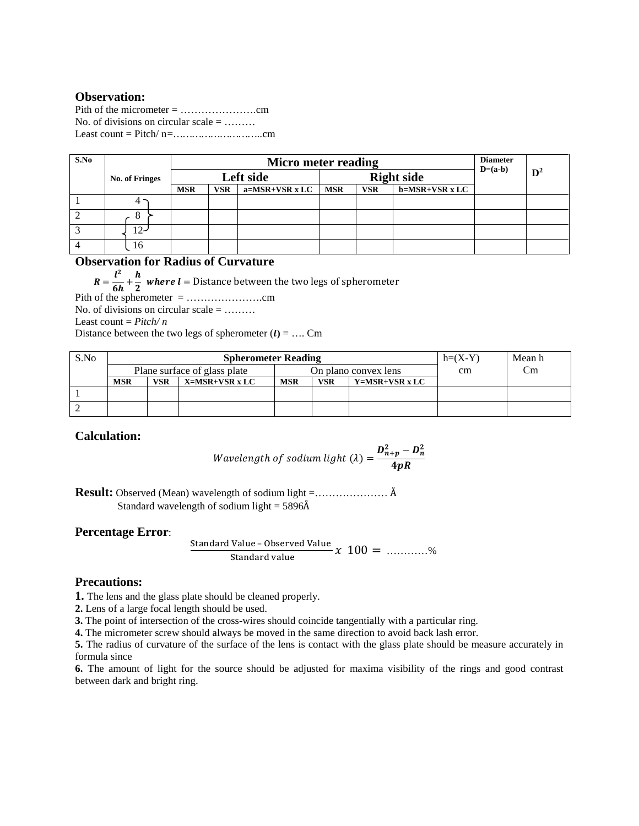# **Observation:**

Pith of the micrometer = ………………….cm No. of divisions on circular scale  $=$  ........ Least count = Pitch/ n*=………………………..*cm

| S.No | No. of Fringes |            | Micro meter reading |                |                   |            |                |  | <b>Diameter</b><br>$D=(a-b)$ |  |
|------|----------------|------------|---------------------|----------------|-------------------|------------|----------------|--|------------------------------|--|
|      |                |            | Left side           |                | <b>Right side</b> |            |                |  | $\mathbf{D}^2$               |  |
|      |                | <b>MSR</b> | <b>VSR</b>          | a=MSR+VSR x LC | <b>MSR</b>        | <b>VSR</b> | b=MSR+VSR x LC |  |                              |  |
|      |                |            |                     |                |                   |            |                |  |                              |  |
|      | δ              |            |                     |                |                   |            |                |  |                              |  |
|      | 12-            |            |                     |                |                   |            |                |  |                              |  |
|      | 16             |            |                     |                |                   |            |                |  |                              |  |

# **Observation for Radius of Curvature**

=  $\mathbf{z}$  $\overline{6h}$  +  $\overline{2}$  where  $l$  = Distance between the two legs of spherometer

Pith of the spherometer = ………………….cm No. of divisions on circular scale = ……… Least count = *Pitch/ n*

Distance between the two legs of spherometer  $(l) = ...$  Cm

| S.No |                              |            | <b>Spherometer Reading</b> | $h=(X-Y)$  | Mean h     |                |  |  |
|------|------------------------------|------------|----------------------------|------------|------------|----------------|--|--|
|      | Plane surface of glass plate |            | On plano convex lens       |            | cm         | Сm             |  |  |
|      | <b>MSR</b>                   | <b>VSR</b> | X=MSR+VSR x LC             | <b>MSR</b> | <b>VSR</b> | Y=MSR+VSR x LC |  |  |
|      |                              |            |                            |            |            |                |  |  |
|      |                              |            |                            |            |            |                |  |  |

# **Calculation:**

*Wavelength of sodium light* (
$$
\lambda
$$
) =  $\frac{D_{n+p}^2 - D_n^2}{4pR}$ 

**Result:** Observed (Mean) wavelength of sodium light =………………… Å Standard wavelength of sodium light  $= 5896\text{\AA}$ 

## **Percentage Error**:

Standard Value – Observed Value  
Standard value 
$$
x
$$
 100 = .........%

## **Precautions:**

**1.** The lens and the glass plate should be cleaned properly.

**2.** Lens of a large focal length should be used.

**3.** The point of intersection of the cross-wires should coincide tangentially with a particular ring.

**4.** The micrometer screw should always be moved in the same direction to avoid back lash error.

**5.** The radius of curvature of the surface of the lens is contact with the glass plate should be measure accurately in formula since

**6.** The amount of light for the source should be adjusted for maxima visibility of the rings and good contrast between dark and bright ring.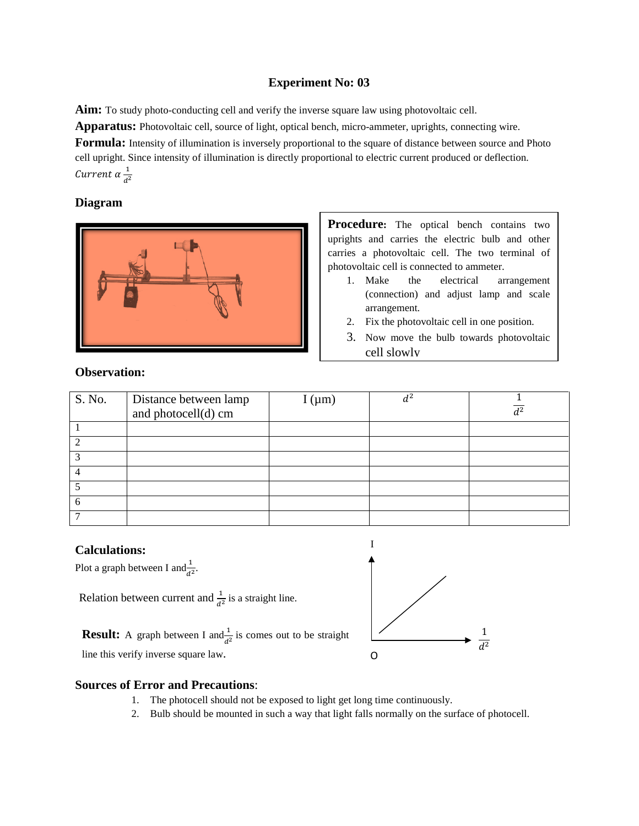**Aim:** To study photo-conducting cell and verify the inverse square law using photovoltaic cell.

**Apparatus:** Photovoltaic cell, source of light, optical bench, micro-ammeter, uprights, connecting wire.

**Formula:** Intensity of illumination is inversely proportional to the square of distance between source and Photo cell upright. Since intensity of illumination is directly proportional to electric current produced or deflection. Current  $\alpha \frac{1}{d^2}$ 

# **Diagram**



**Procedure:** The optical bench contains two uprights and carries the electric bulb and other carries a photovoltaic cell. The two terminal of photovoltaic cell is connected to ammeter.

- 1. Make the electrical arrangement (connection) and adjust lamp and scale arrangement.
- 2. Fix the photovoltaic cell in one position.
- 3. Now move the bulb towards photovoltaic cell slowly

# **Observation:**

| S. No. | Distance between lamp<br>and photocell(d) cm | $I(\mu m)$ | $d^2$ | d <sup>2</sup> |
|--------|----------------------------------------------|------------|-------|----------------|
|        |                                              |            |       |                |
|        |                                              |            |       |                |
|        |                                              |            |       |                |
|        |                                              |            |       |                |
|        |                                              |            |       |                |
| 6      |                                              |            |       |                |
|        |                                              |            |       |                |

# **Calculations:**

Plot a graph between I and  $\frac{1}{d^2}$ .

Relation between current and  $\frac{1}{d^2}$  is a straight line.

**Result:** A graph between I and  $\frac{1}{d^2}$  is comes out to be straight line this verify inverse square law.



**Sources of Error and Precautions**:

- 1. The photocell should not be exposed to light get long time continuously.
	- 2. Bulb should be mounted in such a way that light falls normally on the surface of photocell.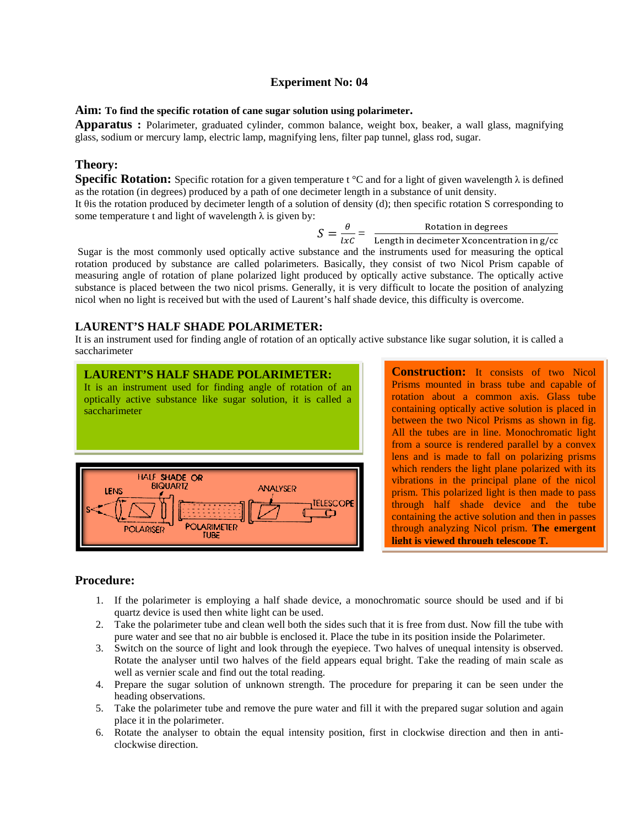#### **Aim: To find the specific rotation of cane sugar solution using polarimeter.**

**Apparatus :** Polarimeter, graduated cylinder, common balance, weight box, beaker, a wall glass, magnifying glass, sodium or mercury lamp, electric lamp, magnifying lens, filter pap tunnel, glass rod, sugar.

### **Theory:**

**Specific Rotation:** Specific rotation for a given temperature t °C and for a light of given wavelength  $\lambda$  is defined as the rotation (in degrees) produced by a path of one decimeter length in a substance of unit density.

It θis the rotation produced by decimeter length of a solution of density (d); then specific rotation S corresponding to some temperature t and light of wavelength  $\lambda$  is given by:

 $S = \frac{\theta}{lxC} = \frac{\text{Rotation in degrees}}{\text{Length in decimeter Xconcentration in g/cc}}$ 

Sugar is the most commonly used optically active substance and the instruments used for measuring the optical rotation produced by substance are called polarimeters. Basically, they consist of two Nicol Prism capable of measuring angle of rotation of plane polarized light produced by optically active substance. The optically active substance is placed between the two nicol prisms. Generally, it is very difficult to locate the position of analyzing nicol when no light is received but with the used of Laurent's half shade device, this difficulty is overcome.

### **LAURENT'S HALF SHADE POLARIMETER:**

It is an instrument used for finding angle of rotation of an optically active substance like sugar solution, it is called a saccharimeter



**Construction:** It consists of two Nicol Prisms mounted in brass tube and capable of rotation about a common axis. Glass tube containing optically active solution is placed in between the two Nicol Prisms as shown in fig. All the tubes are in line. Monochromatic light from a source is rendered parallel by a convex lens and is made to fall on polarizing prisms which renders the light plane polarized with its vibrations in the principal plane of the nicol prism. This polarized light is then made to pass through half shade device and the tube containing the active solution and then in passes through analyzing Nicol prism. **The emergent light is viewed through telescope T.** 

- 1. If the polarimeter is employing a half shade device, a monochromatic source should be used and if bi quartz device is used then white light can be used.
- 2. Take the polarimeter tube and clean well both the sides such that it is free from dust. Now fill the tube with pure water and see that no air bubble is enclosed it. Place the tube in its position inside the Polarimeter.
- 3. Switch on the source of light and look through the eyepiece. Two halves of unequal intensity is observed. Rotate the analyser until two halves of the field appears equal bright. Take the reading of main scale as well as vernier scale and find out the total reading.
- 4. Prepare the sugar solution of unknown strength. The procedure for preparing it can be seen under the heading observations.
- 5. Take the polarimeter tube and remove the pure water and fill it with the prepared sugar solution and again place it in the polarimeter.
- 6. Rotate the analyser to obtain the equal intensity position, first in clockwise direction and then in anticlockwise direction.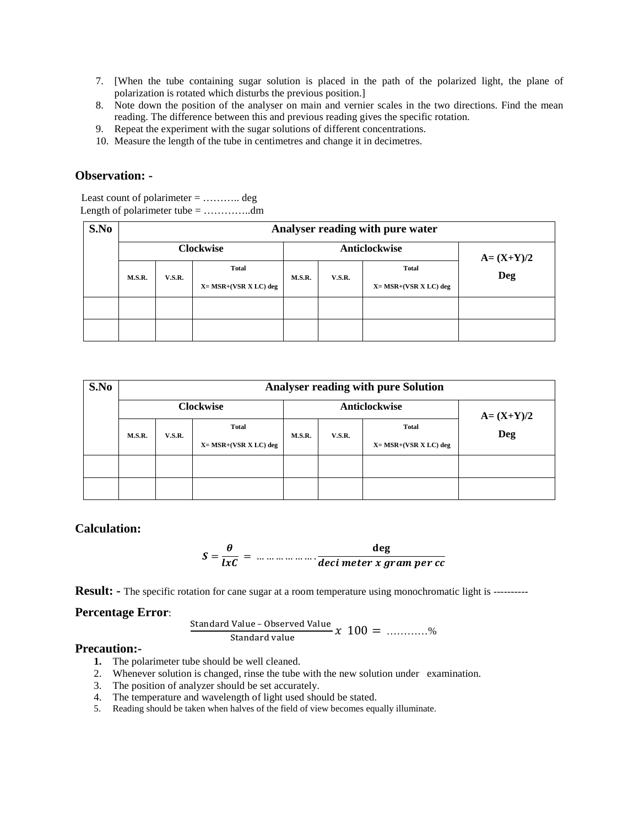- 7. [When the tube containing sugar solution is placed in the path of the polarized light, the plane of polarization is rotated which disturbs the previous position.]
- 8. Note down the position of the analyser on main and vernier scales in the two directions. Find the mean reading. The difference between this and previous reading gives the specific rotation.
- 9. Repeat the experiment with the sugar solutions of different concentrations.
- 10. Measure the length of the tube in centimetres and change it in decimetres.

### **Observation: -**

Least count of polarimeter = ……….. deg Length of polarimeter tube = …………..dm

| S.No | Analyser reading with pure water |               |                                            |        |               |                                            |            |  |  |  |  |
|------|----------------------------------|---------------|--------------------------------------------|--------|---------------|--------------------------------------------|------------|--|--|--|--|
|      |                                  |               | <b>Clockwise</b>                           |        | Anticlockwise | $A = (X+Y)/2$                              |            |  |  |  |  |
|      | M.S.R.                           | <b>V.S.R.</b> | <b>Total</b><br>$X = MSR + (VSR X LC)$ deg | M.S.R. | <b>V.S.R.</b> | <b>Total</b><br>$X = MSR + (VSR X LC)$ deg | <b>Deg</b> |  |  |  |  |
|      |                                  |               |                                            |        |               |                                            |            |  |  |  |  |
|      |                                  |               |                                            |        |               |                                            |            |  |  |  |  |

| S.No |        |               | <b>Analyser reading with pure Solution</b> |        |               |                                            |            |
|------|--------|---------------|--------------------------------------------|--------|---------------|--------------------------------------------|------------|
|      |        |               | <b>Clockwise</b>                           |        | Anticlockwise | $A = (X+Y)/2$                              |            |
|      | M.S.R. | <b>V.S.R.</b> | Total<br>$X = MSR + (VSR X LC)$ deg        | M.S.R. | <b>V.S.R.</b> | <b>Total</b><br>$X = MSR + (VSR X LC)$ deg | <b>Deg</b> |
|      |        |               |                                            |        |               |                                            |            |
|      |        |               |                                            |        |               |                                            |            |

## **Calculation:**

$$
S = \frac{\theta}{lxC} = \dots \dots \dots \dots \dots \frac{\text{deg}}{\text{deci meter } x \text{ gram per cc}}
$$

**Result:** - The specific rotation for cane sugar at a room temperature using monochromatic light is ----------

### **Percentage Error**:

Standard Value – Observed Value<br>
Standard value  $x$   $100 =$  ............%

# **Precaution:-**

- **1.** The polarimeter tube should be well cleaned.
- 2. Whenever solution is changed, rinse the tube with the new solution under examination.
- 3. The position of analyzer should be set accurately.
- 4. The temperature and wavelength of light used should be stated.
- 5. Reading should be taken when halves of the field of view becomes equally illuminate.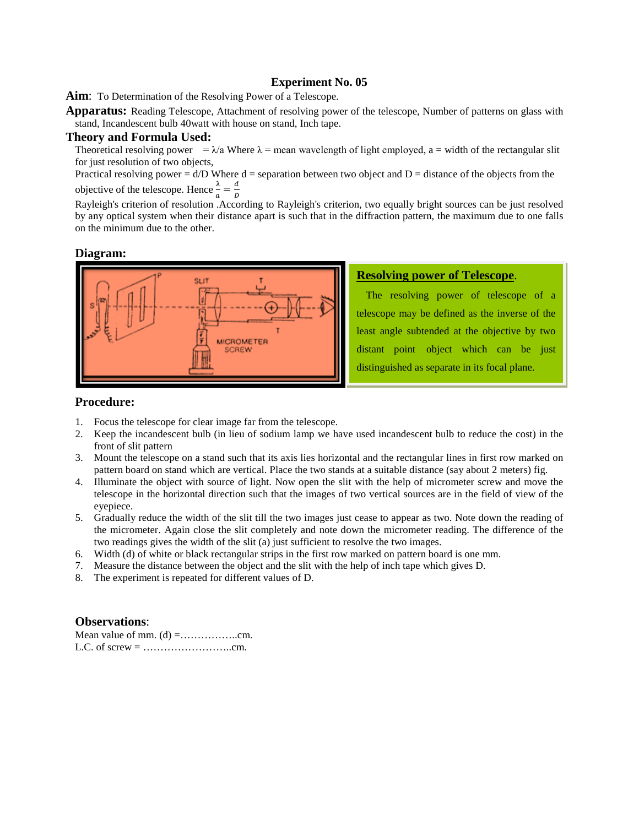Aim: To Determination of the Resolving Power of a Telescope.

**Apparatus:** Reading Telescope, Attachment of resolving power of the telescope, Number of patterns on glass with stand, Incandescent bulb 40watt with house on stand, Inch tape.

### **Theory and Formula Used:**

Theoretical resolving power =  $\lambda/a$  Where  $\lambda$  = mean wavelength of light employed, a = width of the rectangular slit for just resolution of two objects,

Practical resolving power =  $d/D$  Where  $d =$  separation between two object and  $D =$  distance of the objects from the objective of the telescope. Hence  $\frac{\lambda}{a} = \frac{a}{b}$ 

 $\overrightarrow{R}$   $\overrightarrow{a}$   $\overrightarrow{b}$  a  $\overrightarrow{b}$  . According to Rayleigh's criterion, two equally bright sources can be just resolved by any optical system when their distance apart is such that in the diffraction pattern, the maximum due to one falls on the minimum due to the other.

#### **Diagram:**



## **Resolving power of Telescope**.

The resolving power of telescope of a telescope may be defined as the inverse of the least angle subtended at the objective by two distant point object which can be just distinguished as separate in its focal plane.

### **Procedure:**

- 1. Focus the telescope for clear image far from the telescope.
- 2. Keep the incandescent bulb (in lieu of sodium lamp we have used incandescent bulb to reduce the cost) in the front of slit pattern
- 3. Mount the telescope on a stand such that its axis lies horizontal and the rectangular lines in first row marked on pattern board on stand which are vertical. Place the two stands at a suitable distance (say about 2 meters) fig.
- 4. Illuminate the object with source of light. Now open the slit with the help of micrometer screw and move the telescope in the horizontal direction such that the images of two vertical sources are in the field of view of the eyepiece.
- 5. Gradually reduce the width of the slit till the two images just cease to appear as two. Note down the reading of the micrometer. Again close the slit completely and note down the micrometer reading. The difference of the two readings gives the width of the slit (a) just sufficient to resolve the two images.
- 6. Width (d) of white or black rectangular strips in the first row marked on pattern board is one mm.
- 7. Measure the distance between the object and the slit with the help of inch tape which gives D.
- 8. The experiment is repeated for different values of D.

## **Observations**:

Mean value of mm. (d) =……………..cm. L.C. of screw = ……………………..cm.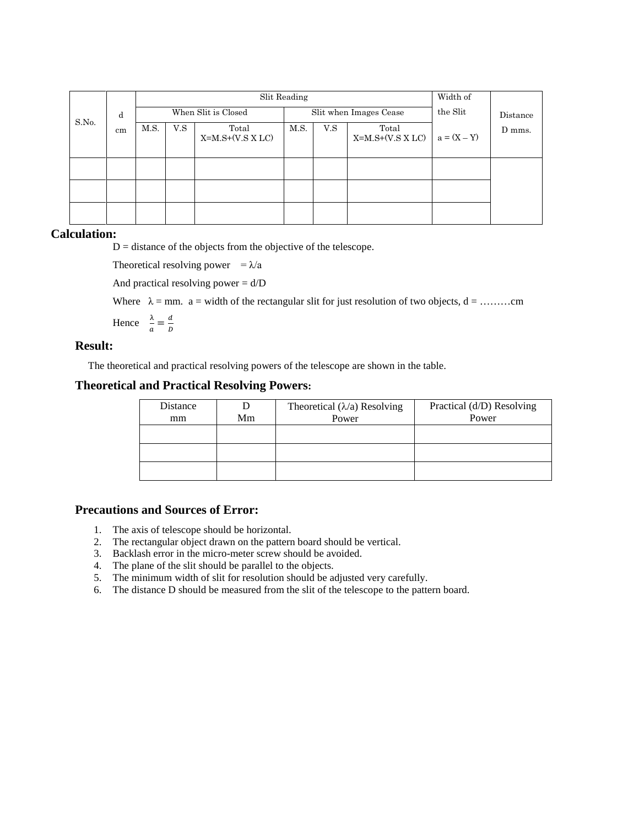|       |    |      |     | Slit Reading                |      | Width of |                             |               |          |
|-------|----|------|-----|-----------------------------|------|----------|-----------------------------|---------------|----------|
| S.No. | d  |      |     | When Slit is Closed         |      |          | Slit when Images Cease      | the Slit      | Distance |
|       | cm | M.S. | V.S | Total<br>$X=M.S+(V.S X LC)$ | M.S. | V.S      | Total<br>$X=M.S+(V.S X LC)$ | $a = (X - Y)$ | D mms.   |
|       |    |      |     |                             |      |          |                             |               |          |
|       |    |      |     |                             |      |          |                             |               |          |
|       |    |      |     |                             |      |          |                             |               |          |

### **Calculation:**

 $D =$  distance of the objects from the objective of the telescope.

Theoretical resolving power =  $\lambda/a$ 

And practical resolving power  $= d/D$ 

Where λ = mm. a = width of the rectangular slit for just resolution of two objects, d = ………cm

Hence  $\frac{\lambda}{a} = \frac{d}{b}$ 

# **Result:**

The theoretical and practical resolving powers of the telescope are shown in the table.

## **Theoretical and Practical Resolving Powers:**

| Distance<br>mm | Mm | Theoretical $(\lambda/a)$ Resolving<br>Power | Practical (d/D) Resolving<br>Power |
|----------------|----|----------------------------------------------|------------------------------------|
|                |    |                                              |                                    |
|                |    |                                              |                                    |
|                |    |                                              |                                    |

## **Precautions and Sources of Error:**

- 1. The axis of telescope should be horizontal.
- 2. The rectangular object drawn on the pattern board should be vertical.
- 3. Backlash error in the micro-meter screw should be avoided.
- 4. The plane of the slit should be parallel to the objects.
- 5. The minimum width of slit for resolution should be adjusted very carefully.
- 6. The distance D should be measured from the slit of the telescope to the pattern board.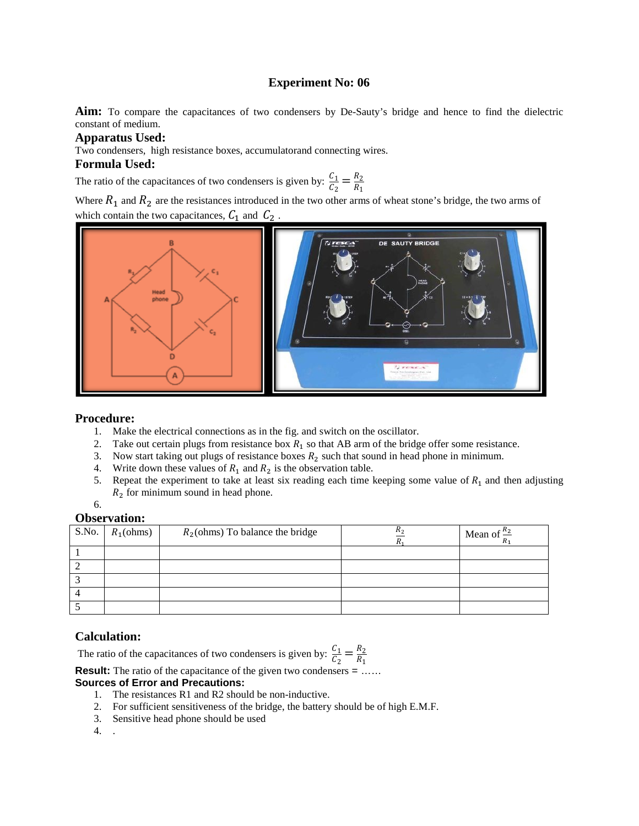**Aim:** To compare the capacitances of two condensers by De-Sauty's bridge and hence to find the dielectric constant of medium.

### **Apparatus Used:**

Two condensers, high resistance boxes, accumulatorand connecting wires.

### **Formula Used:**

The ratio of the capacitances of two condensers is given by:  $\frac{C_1}{C_2} = \frac{R_2}{R_1}$ 

Where  $R_1$  and  $R_2$  are the resistances introduced in the two other arms of wheat stone's bridge, the two arms of which contain the two capacitances,  $C_1$  and  $C_2$ 



## **Procedure:**

- 1. Make the electrical connections as in the fig. and switch on the oscillator.
- 2. Take out certain plugs from resistance box  $R_1$  so that AB arm of the bridge offer some resistance.
- 3. Now start taking out plugs of resistance boxes  $R_2$  such that sound in head phone in minimum.
- 4. Write down these values of  $R_1$  and  $R_2$  is the observation table.
- 5. Repeat the experiment to take at least six reading each time keeping some value of  $R_1$  and then adjusting  $R_2$  for minimum sound in head phone.
- 6.

## **Observation:**

| S.No. | $R_1$ (ohms) | $R_2$ (ohms) To balance the bridge | Mean of $\frac{R_2}{R_1}$ |
|-------|--------------|------------------------------------|---------------------------|
|       |              |                                    |                           |
|       |              |                                    |                           |
|       |              |                                    |                           |
|       |              |                                    |                           |
|       |              |                                    |                           |

# **Calculation:**

The ratio of the capacitances of two condensers is given by:  $\frac{C_1}{C_2} = \frac{R_2}{R_1}$ 

**Result:** The ratio of the capacitance of the given two condensers = ......

### **Sources of Error and Precautions:**

- 1. The resistances R1 and R2 should be non-inductive.
- 2. For sufficient sensitiveness of the bridge, the battery should be of high E.M.F.
- 3. Sensitive head phone should be used
- 4. .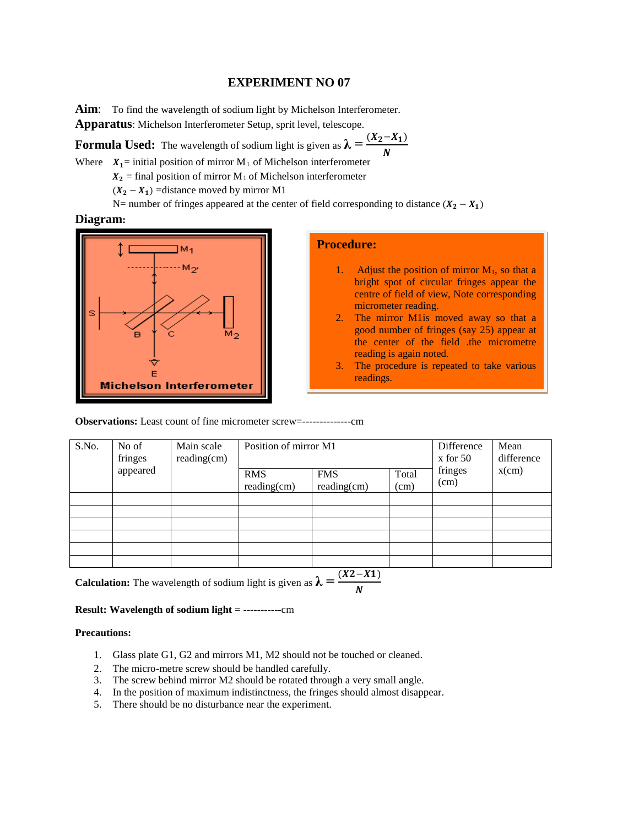### **EXPERIMENT NO 07**

Aim: To find the wavelength of sodium light by Michelson Interferometer.

**Apparatus**: Michelson Interferometer Setup, sprit level, telescope.

**Formula Used:** The wavelength of sodium light is given as  $\lambda = \frac{(X_2 - X_1)}{N}$  $\boldsymbol{N}$ 

Where  $X_1$ = initial position of mirror M<sub>1</sub> of Michelson interferometer

 $X_2$  = final position of mirror M<sub>1</sub> of Michelson interferometer

 $(X_2 - X_1)$  =distance moved by mirror M1

N= number of fringes appeared at the center of field corresponding to distance  $(X_2 - X_1)$ 

# **Diagram:**



# **Procedure:**

- 1. Adjust the position of mirror  $M_1$ , so that a bright spot of circular fringes appear the centre of field of view, Note corresponding micrometer reading.
- 2. The mirror M1is moved away so that a good number of fringes (say 25) appear at the center of the field .the micrometre reading is again noted.
- 3. The procedure is repeated to take various readings.

**Observations:** Least count of fine micrometer screw=--------------cm

| S.No.                | No of<br>fringes | Main scale<br>$reading$ (cm) | Position of mirror M1        |                              | Difference<br>$x$ for 50 | Mean<br>difference |          |
|----------------------|------------------|------------------------------|------------------------------|------------------------------|--------------------------|--------------------|----------|
| appeared             |                  |                              | <b>RMS</b><br>$reading$ (cm) | <b>FMS</b><br>$reading$ (cm) | Total<br>(cm)            | fringes<br>(cm)    | $x$ (cm) |
|                      |                  |                              |                              |                              |                          |                    |          |
|                      |                  |                              |                              |                              |                          |                    |          |
|                      |                  |                              |                              |                              |                          |                    |          |
|                      |                  |                              |                              |                              |                          |                    |          |
|                      |                  |                              |                              |                              |                          |                    |          |
|                      |                  |                              |                              |                              |                          |                    |          |
| $\sim$ $\sim$ $\sim$ | $\sim$           |                              |                              | $(X2 - X1)$<br>↑             |                          |                    |          |

**Calculation:** The wavelength of sodium light is given as  $\lambda = \frac{1}{\lambda}$  $\boldsymbol{N}$ 

### **Result: Wavelength of sodium light** = -----------cm

#### **Precautions:**

- 1. Glass plate G1, G2 and mirrors M1, M2 should not be touched or cleaned.
- 2. The micro-metre screw should be handled carefully.
- 3. The screw behind mirror M2 should be rotated through a very small angle.
- 4. In the position of maximum indistinctness, the fringes should almost disappear.
- 5. There should be no disturbance near the experiment.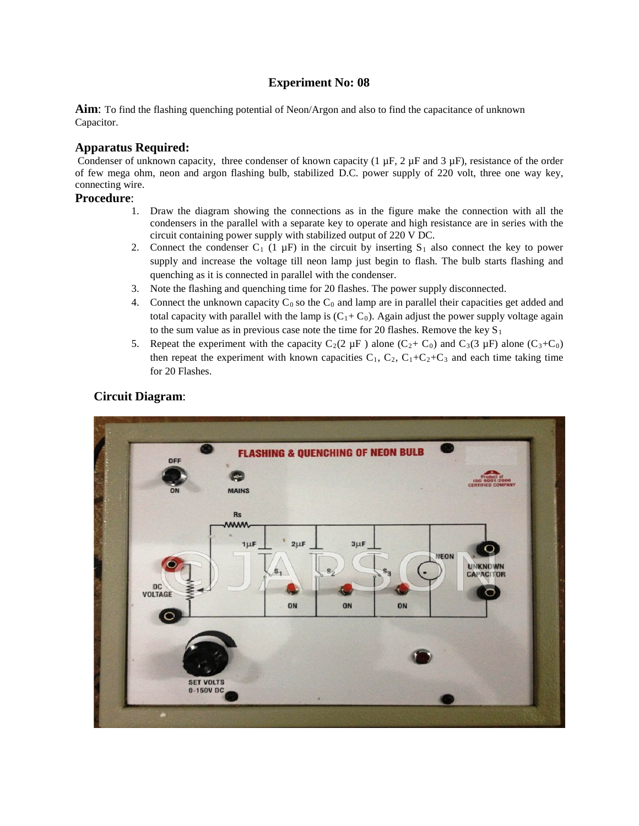**Aim**: To find the flashing quenching potential of Neon/Argon and also to find the capacitance of unknown Capacitor.

# **Apparatus Required:**

Condenser of unknown capacity, three condenser of known capacity (1  $\mu$ F, 2  $\mu$ F and 3  $\mu$ F), resistance of the order of few mega ohm, neon and argon flashing bulb, stabilized D.C. power supply of 220 volt, three one way key, connecting wire.

- 1. Draw the diagram showing the connections as in the figure make the connection with all the condensers in the parallel with a separate key to operate and high resistance are in series with the circuit containing power supply with stabilized output of 220 V DC.
- 2. Connect the condenser C<sub>1</sub> (1  $\mu$ F) in the circuit by inserting S<sub>1</sub> also connect the key to power supply and increase the voltage till neon lamp just begin to flash. The bulb starts flashing and quenching as it is connected in parallel with the condenser.
- 3. Note the flashing and quenching time for 20 flashes. The power supply disconnected.
- 4. Connect the unknown capacity  $C_0$  so the  $C_0$  and lamp are in parallel their capacities get added and total capacity with parallel with the lamp is  $(C_1+C_0)$ . Again adjust the power supply voltage again to the sum value as in previous case note the time for 20 flashes. Remove the key  $S_1$
- 5. Repeat the experiment with the capacity  $C_2(2 \mu F)$  alone  $(C_2 + C_0)$  and  $C_3(3 \mu F)$  alone  $(C_3+C_0)$ then repeat the experiment with known capacities  $C_1$ ,  $C_2$ ,  $C_1+C_2+C_3$  and each time taking time for 20 Flashes.



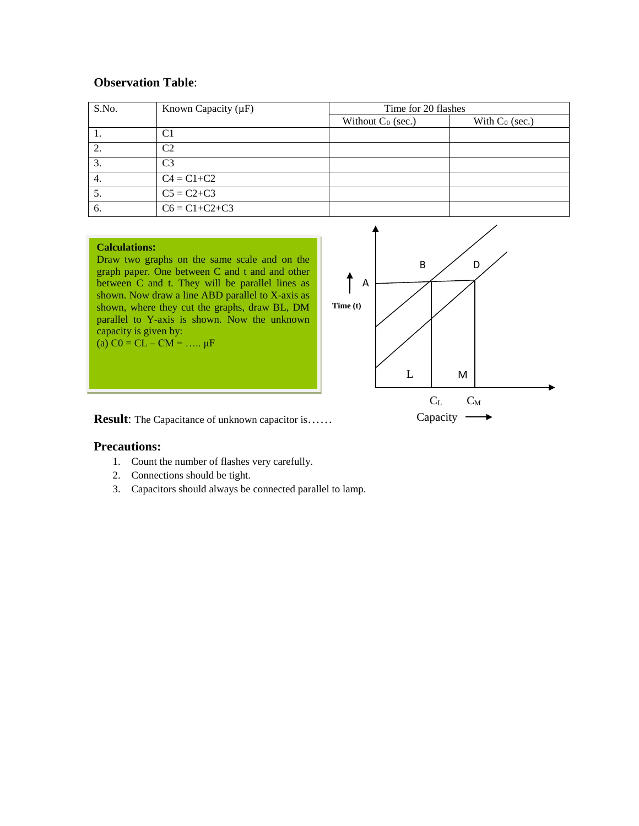# **Observation Table**:

| S.No. | Known Capacity $(\mu F)$ | Time for 20 flashes  |                   |  |  |  |
|-------|--------------------------|----------------------|-------------------|--|--|--|
|       |                          | Without $C_0$ (sec.) | With $C_0$ (sec.) |  |  |  |
|       | C1                       |                      |                   |  |  |  |
|       | C <sub>2</sub>           |                      |                   |  |  |  |
|       | C <sub>3</sub>           |                      |                   |  |  |  |
| 4.    | $C4 = C1 + C2$           |                      |                   |  |  |  |
| C.    | $C5 = C2 + C3$           |                      |                   |  |  |  |
| 6.    | $C6 = C1 + C2 + C3$      |                      |                   |  |  |  |

#### **Calculations:**

Draw two graphs on the same scale and on the graph paper. One between C and t and and other between C and t. They will be parallel lines as shown. Now draw a line ABD parallel to X-axis as shown, where they cut the graphs, draw BL, DM parallel to Y-axis is shown. Now the unknown capacity is given by: (a)  $CO = CL - CM = ... \mu F$ 



**Result:** The Capacitance of unknown capacitor is……

### **Precautions:**

- 1. Count the number of flashes very carefully.
- 2. Connections should be tight.
- 3. Capacitors should always be connected parallel to lamp.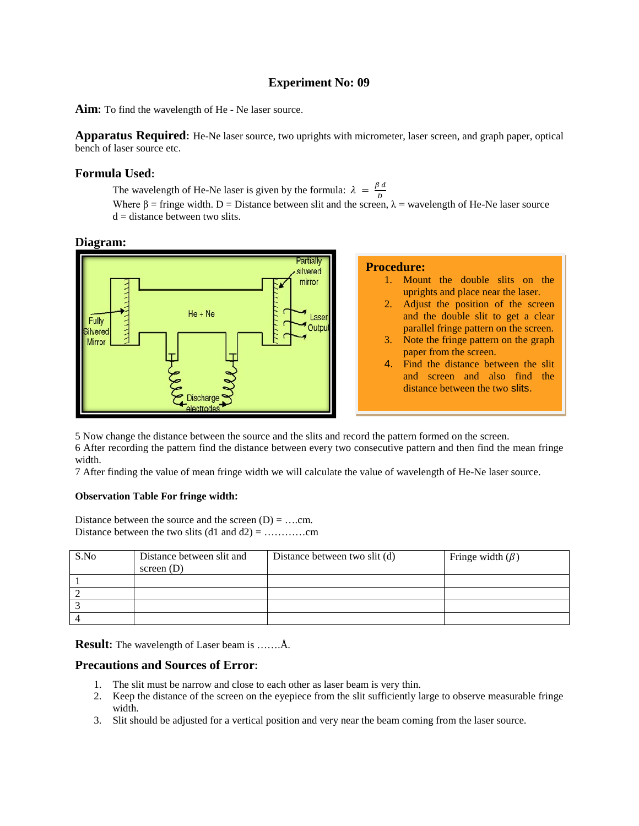**Aim:** To find the wavelength of He - Ne laser source.

**Apparatus Required:** He-Ne laser source, two uprights with micrometer, laser screen, and graph paper, optical bench of laser source etc.

### **Formula Used:**

The wavelength of He-Ne laser is given by the formula:  $\lambda = \frac{\beta d}{D}$ 

Where  $\beta$  = fringe width. D = Distance between slit and the screen,  $\lambda$  = wavelength of He-Ne laser source  $d =$  distance between two slits.

### **Diagram:**



5 Now change the distance between the source and the slits and record the pattern formed on the screen. 6 After recording the pattern find the distance between every two consecutive pattern and then find the mean fringe width.

7 After finding the value of mean fringe width we will calculate the value of wavelength of He-Ne laser source.

### **Observation Table For fringe width:**

Distance between the source and the screen  $(D) = ...$ cm. Distance between the two slits (d1 and d2) = …………cm

| S.No | Distance between slit and<br>screen $(D)$ | Distance between two slit (d) | Fringe width $(\beta)$ |
|------|-------------------------------------------|-------------------------------|------------------------|
|      |                                           |                               |                        |
|      |                                           |                               |                        |
|      |                                           |                               |                        |
|      |                                           |                               |                        |

**Result:** The wavelength of Laser beam is …….Å.

## **Precautions and Sources of Error:**

- 1. The slit must be narrow and close to each other as laser beam is very thin.
- 2. Keep the distance of the screen on the eyepiece from the slit sufficiently large to observe measurable fringe width.
- 3. Slit should be adjusted for a vertical position and very near the beam coming from the laser source.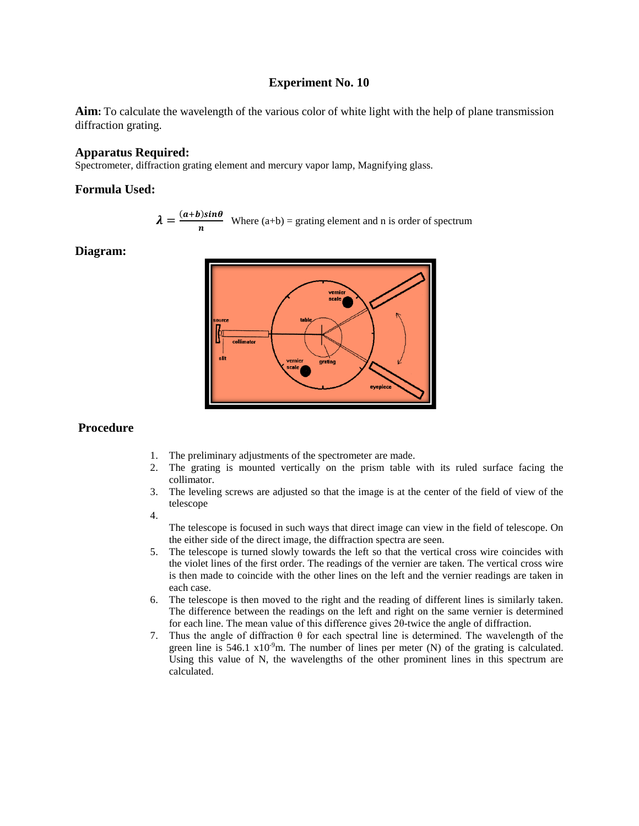**Aim:** To calculate the wavelength of the various color of white light with the help of plane transmission diffraction grating.

### **Apparatus Required:**

Spectrometer, diffraction grating element and mercury vapor lamp, Magnifying glass.

## **Formula Used:**

$$
\lambda = \frac{(a+b)\sin\theta}{n}
$$
 Where (a+b) = grating element and n is order of spectrum

**Diagram:**



## **Procedure**

- 1. The preliminary adjustments of the spectrometer are made.
- 2. The grating is mounted vertically on the prism table with its ruled surface facing the collimator.
- 3. The leveling screws are adjusted so that the image is at the center of the field of view of the telescope
- 4.

The telescope is focused in such ways that direct image can view in the field of telescope. On the either side of the direct image, the diffraction spectra are seen.

- 5. The telescope is turned slowly towards the left so that the vertical cross wire coincides with the violet lines of the first order. The readings of the vernier are taken. The vertical cross wire is then made to coincide with the other lines on the left and the vernier readings are taken in each case.
- 6. The telescope is then moved to the right and the reading of different lines is similarly taken. The difference between the readings on the left and right on the same vernier is determined for each line. The mean value of this difference gives 2θ-twice the angle of diffraction.
- 7. Thus the angle of diffraction  $\theta$  for each spectral line is determined. The wavelength of the green line is 546.1  $x10^{-9}$ m. The number of lines per meter (N) of the grating is calculated. Using this value of N, the wavelengths of the other prominent lines in this spectrum are calculated.